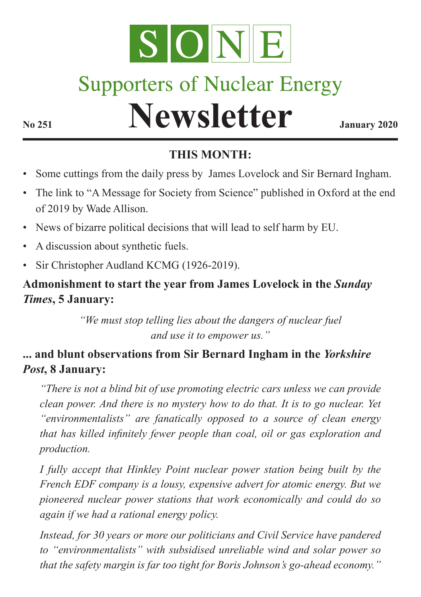

# **Supporters of Nuclear Energy**

# **Newsletter January 2020**

# **THIS MONTH:**

- Some cuttings from the daily press by James Lovelock and Sir Bernard Ingham.
- The link to "A Message for Society from Science" published in Oxford at the end of 2019 by Wade Allison.
- News of bizarre political decisions that will lead to self harm by EU.
- A discussion about synthetic fuels.
- Sir Christopher Audland KCMG (1926-2019).

#### **Admonishment to start the year from James Lovelock in the** *Sunday Times***, 5 January:**

*"We must stop telling lies about the dangers of nuclear fuel and use it to empower us."*

## **... and blunt observations from Sir Bernard Ingham in the** *Yorkshire Post***, 8 January:**

*"There is not a blind bit of use promoting electric cars unless we can provide clean power. And there is no mystery how to do that. It is to go nuclear. Yet "environmentalists" are fanatically opposed to a source of clean energy that has killed infinitely fewer people than coal, oil or gas exploration and production.* 

*I fully accept that Hinkley Point nuclear power station being built by the French EDF company is a lousy, expensive advert for atomic energy. But we pioneered nuclear power stations that work economically and could do so again if we had a rational energy policy.* 

*Instead, for 30 years or more our politicians and Civil Service have pandered to "environmentalists" with subsidised unreliable wind and solar power so that the safety margin is far too tight for Boris Johnson's go-ahead economy."*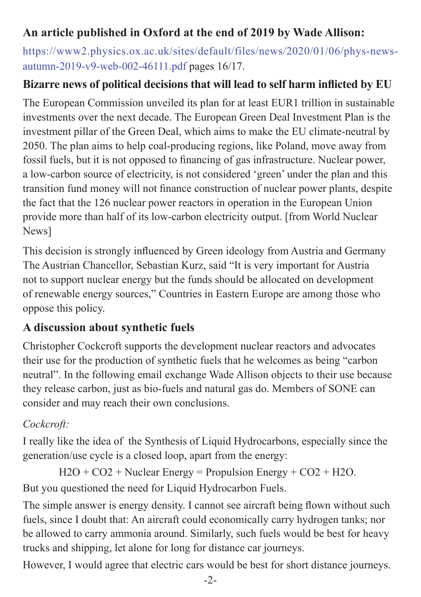## **An article published in Oxford at the end of 2019 by Wade Allison:**

[https://www2.physics.ox.ac.uk/sites/default/files/news/2020/01/06/phys-news](http://www2.physics.ox.ac.uk/sites/default/files/news/2020/01/06/phys-news-autumn-2019-v9-web-002-46111.pdf)[autumn-2019-v9-web-002-46111.pdf](http://www2.physics.ox.ac.uk/sites/default/files/news/2020/01/06/phys-news-autumn-2019-v9-web-002-46111.pdf) pages 16/17.

#### **Bizarre news of political decisions that will lead to self harm inflicted by EU**

The European Commission unveiled its plan for at least EUR1 trillion in sustainable investments over the next decade. The European Green Deal Investment Plan is the investment pillar of the Green Deal, which aims to make the EU climate-neutral by 2050. The plan aims to help coal-producing regions, like Poland, move away from fossil fuels, but it is not opposed to financing of gas infrastructure. Nuclear power, a low-carbon source of electricity, is not considered 'green' under the plan and this transition fund money will not finance construction of nuclear power plants, despite the fact that the 126 nuclear power reactors in operation in the European Union provide more than half of its low-carbon electricity output. [from World Nuclear News]

This decision is strongly influenced by Green ideology from Austria and Germany The Austrian Chancellor, Sebastian Kurz, said "It is very important for Austria not to support nuclear energy but the funds should be allocated on development of renewable energy sources," Countries in Eastern Europe are among those who oppose this policy.

#### **A discussion about synthetic fuels**

Christopher Cockcroft supports the development nuclear reactors and advocates their use for the production of synthetic fuels that he welcomes as being "carbon neutral". In the following email exchange Wade Allison objects to their use because they release carbon, just as bio-fuels and natural gas do. Members of SONE can consider and may reach their own conclusions.

#### *Cockcroft:*

I really like the idea of the Synthesis of Liquid Hydrocarbons, especially since the generation/use cycle is a closed loop, apart from the energy:

```
H2O + CO2 + Nuclear Energy = 12S/12 = 12SBut you questioned the need for Liquid Hydrocarbon Fuels.
```
The simple answer is energy density. I cannot see aircraft being flown without such fuels, since I doubt that: An aircraft could economically carry hydrogen tanks; nor be allowed to carry ammonia around. Similarly, such fuels would be best for heavy trucks and shipping, let alone for long for distance car journeys.

However, I would agree that electric cars would be best for short distance journeys.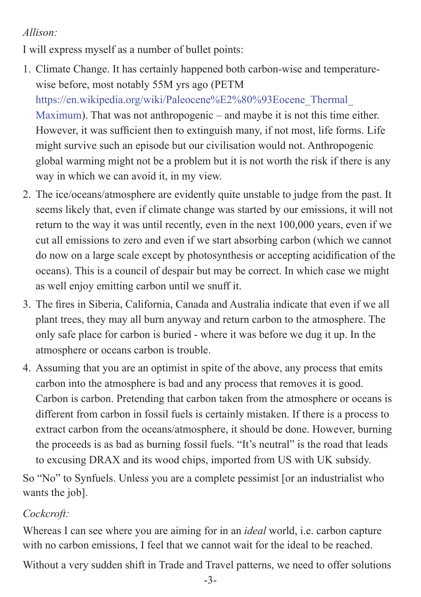#### *Allison:*

I will express myself as a number of bullet points:

- 1. Climate Change. It has certainly happened both carbon-wise and temperaturewise before, most notably 55M yrs ago (PETM [https://en.wikipedia.org/wiki/Paleocene%E2%80%93Eocene\\_Thermal\\_](https://en.wikipedia.org/wiki/Paleocene%E2%80%93Eocene_Thermal_Maximum) [Maximum](https://en.wikipedia.org/wiki/Paleocene%E2%80%93Eocene_Thermal_Maximum)). That was not anthropogenic – and maybe it is not this time either. However, it was sufficient then to extinguish many, if not most, life forms. Life might survive such an episode but our civilisation would not. Anthropogenic global warming might not be a problem but it is not worth the risk if there is any way in which we can avoid it, in my view.
- 2. The ice/oceans/atmosphere are evidently quite unstable to judge from the past. It seems likely that, even if climate change was started by our emissions, it will not return to the way it was until recently, even in the next 100,000 years, even if we cut all emissions to zero and even if we start absorbing carbon (which we cannot do now on a large scale except by photosynthesis or accepting acidification of the oceans). This is a council of despair but may be correct. In which case we might as well enjoy emitting carbon until we snuff it.
- 3. The fires in Siberia, California, Canada and Australia indicate that even if we all plant trees, they may all burn anyway and return carbon to the atmosphere. The only safe place for carbon is buried - where it was before we dug it up. In the atmosphere or oceans carbon is trouble.
- 4. Assuming that you are an optimist in spite of the above, any process that emits carbon into the atmosphere is bad and any process that removes it is good. Carbon is carbon. Pretending that carbon taken from the atmosphere or oceans is different from carbon in fossil fuels is certainly mistaken. If there is a process to extract carbon from the oceans/atmosphere, it should be done. However, burning the proceeds is as bad as burning fossil fuels. "It's neutral" is the road that leads to excusing DRAX and its wood chips, imported from US with UK subsidy.

So "No" to Synfuels. Unless you are a complete pessimist [or an industrialist who wants the job].

#### *Cockcroft:*

Whereas I can see where you are aiming for in an *ideal* world, i.e. carbon capture with no carbon emissions, I feel that we cannot wait for the ideal to be reached.

Without a very sudden shift in Trade and Travel patterns, we need to offer solutions